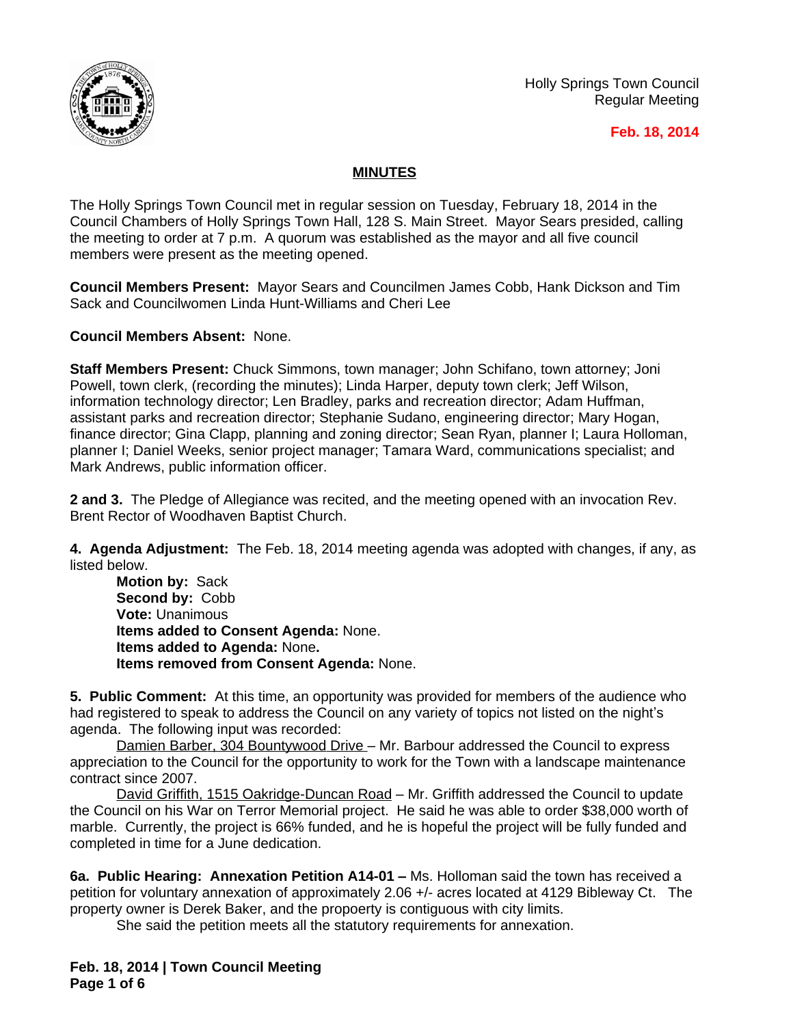

Holly Springs Town Council Regular Meeting

#### **Feb. 18, 2014**

# **MINUTES**

The Holly Springs Town Council met in regular session on Tuesday, February 18, 2014 in the Council Chambers of Holly Springs Town Hall, 128 S. Main Street. Mayor Sears presided, calling the meeting to order at 7 p.m. A quorum was established as the mayor and all five council members were present as the meeting opened.

**Council Members Present:** Mayor Sears and Councilmen James Cobb, Hank Dickson and Tim Sack and Councilwomen Linda Hunt-Williams and Cheri Lee

**Council Members Absent:** None.

**Staff Members Present:** Chuck Simmons, town manager; John Schifano, town attorney; Joni Powell, town clerk, (recording the minutes); Linda Harper, deputy town clerk; Jeff Wilson, information technology director; Len Bradley, parks and recreation director; Adam Huffman, assistant parks and recreation director; Stephanie Sudano, engineering director; Mary Hogan, finance director; Gina Clapp, planning and zoning director; Sean Ryan, planner I; Laura Holloman, planner I; Daniel Weeks, senior project manager; Tamara Ward, communications specialist; and Mark Andrews, public information officer.

**2 and 3.** The Pledge of Allegiance was recited, and the meeting opened with an invocation Rev. Brent Rector of Woodhaven Baptist Church.

**4. Agenda Adjustment:** The Feb. 18, 2014 meeting agenda was adopted with changes, if any, as listed below.

**Motion by:** Sack **Second by:** Cobb **Vote:** Unanimous **Items added to Consent Agenda:** None. **Items added to Agenda:** None**. Items removed from Consent Agenda:** None.

**5. Public Comment:** At this time, an opportunity was provided for members of the audience who had registered to speak to address the Council on any variety of topics not listed on the night's agenda. The following input was recorded:

Damien Barber, 304 Bountywood Drive - Mr. Barbour addressed the Council to express appreciation to the Council for the opportunity to work for the Town with a landscape maintenance contract since 2007.

David Griffith, 1515 Oakridge-Duncan Road – Mr. Griffith addressed the Council to update the Council on his War on Terror Memorial project. He said he was able to order \$38,000 worth of marble. Currently, the project is 66% funded, and he is hopeful the project will be fully funded and completed in time for a June dedication.

**6a. Public Hearing: Annexation Petition A14-01 – Ms. Holloman said the town has received a** petition for voluntary annexation of approximately 2.06 +/- acres located at 4129 Bibleway Ct. The property owner is Derek Baker, and the propoerty is contiguous with city limits.

She said the petition meets all the statutory requirements for annexation.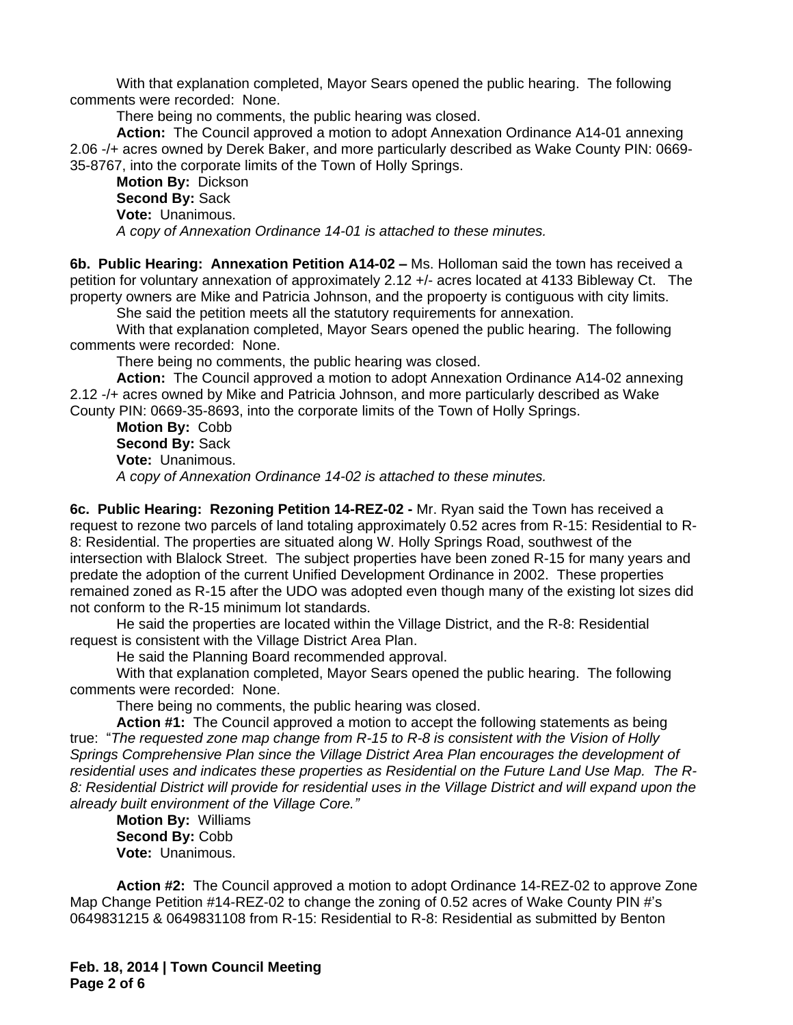With that explanation completed, Mayor Sears opened the public hearing. The following comments were recorded: None.

There being no comments, the public hearing was closed.

**Action:** The Council approved a motion to adopt Annexation Ordinance A14-01 annexing 2.06 -/+ acres owned by Derek Baker, and more particularly described as Wake County PIN: 0669- 35-8767, into the corporate limits of the Town of Holly Springs.

**Motion By:** Dickson **Second By:** Sack **Vote:** Unanimous. *A copy of Annexation Ordinance 14-01 is attached to these minutes.*

**6b. Public Hearing: Annexation Petition A14-02 – Ms. Holloman said the town has received a** petition for voluntary annexation of approximately 2.12 +/- acres located at 4133 Bibleway Ct. The property owners are Mike and Patricia Johnson, and the propoerty is contiguous with city limits.

She said the petition meets all the statutory requirements for annexation.

With that explanation completed, Mayor Sears opened the public hearing. The following comments were recorded: None.

There being no comments, the public hearing was closed.

**Action:** The Council approved a motion to adopt Annexation Ordinance A14-02 annexing 2.12 -/+ acres owned by Mike and Patricia Johnson, and more particularly described as Wake County PIN: 0669-35-8693, into the corporate limits of the Town of Holly Springs.

**Motion By:** Cobb **Second By:** Sack **Vote:** Unanimous. *A copy of Annexation Ordinance 14-02 is attached to these minutes.*

**6c. Public Hearing: Rezoning Petition 14-REZ-02 -** Mr. Ryan said the Town has received a request to rezone two parcels of land totaling approximately 0.52 acres from R-15: Residential to R-8: Residential. The properties are situated along W. Holly Springs Road, southwest of the intersection with Blalock Street. The subject properties have been zoned R-15 for many years and predate the adoption of the current Unified Development Ordinance in 2002. These properties remained zoned as R-15 after the UDO was adopted even though many of the existing lot sizes did not conform to the R-15 minimum lot standards.

He said the properties are located within the Village District, and the R-8: Residential request is consistent with the Village District Area Plan.

He said the Planning Board recommended approval.

With that explanation completed, Mayor Sears opened the public hearing. The following comments were recorded: None.

There being no comments, the public hearing was closed.

**Action #1:** The Council approved a motion to accept the following statements as being true: "*The requested zone map change from R-15 to R-8 is consistent with the Vision of Holly Springs Comprehensive Plan since the Village District Area Plan encourages the development of residential uses and indicates these properties as Residential on the Future Land Use Map. The R-8: Residential District will provide for residential uses in the Village District and will expand upon the already built environment of the Village Core."*

**Motion By:** Williams **Second By:** Cobb **Vote:** Unanimous.

**Action #2:** The Council approved a motion to adopt Ordinance 14-REZ-02 to approve Zone Map Change Petition #14-REZ-02 to change the zoning of 0.52 acres of Wake County PIN #'s 0649831215 & 0649831108 from R-15: Residential to R-8: Residential as submitted by Benton

**Feb. 18, 2014 | Town Council Meeting Page 2 of 6**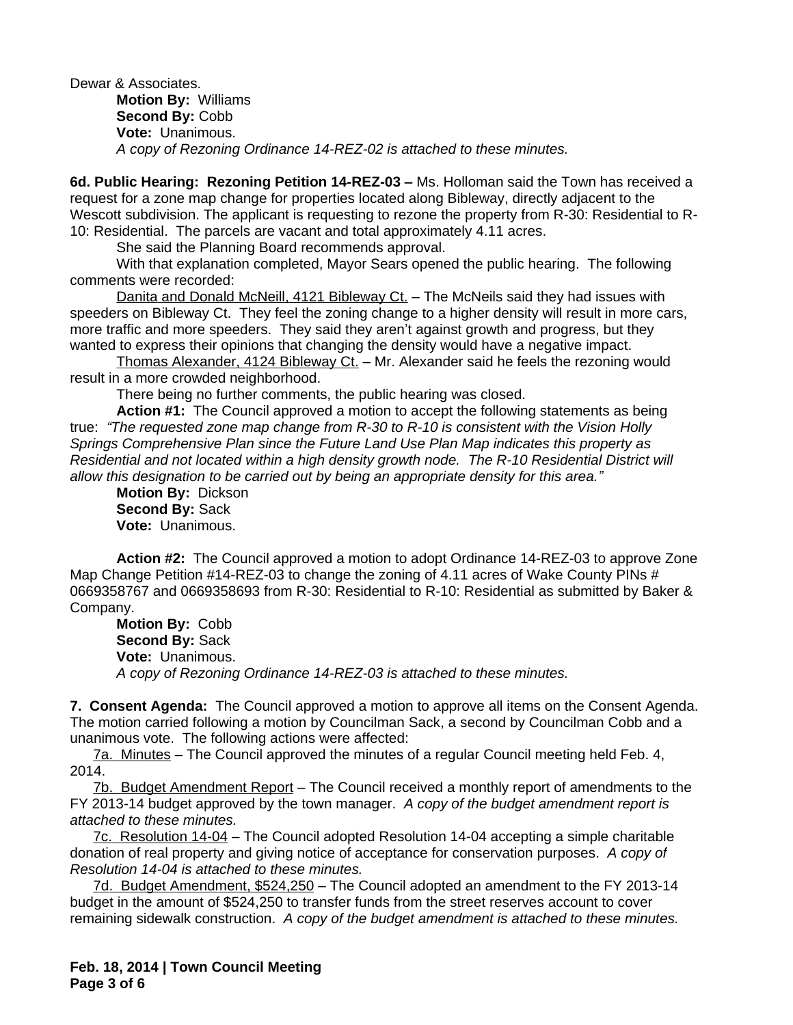Dewar & Associates. **Motion By:** Williams **Second By:** Cobb **Vote:** Unanimous. *A copy of Rezoning Ordinance 14-REZ-02 is attached to these minutes.*

**6d. Public Hearing: Rezoning Petition 14-REZ-03 – Ms. Holloman said the Town has received a** request for a zone map change for properties located along Bibleway, directly adjacent to the Wescott subdivision. The applicant is requesting to rezone the property from R-30: Residential to R-10: Residential. The parcels are vacant and total approximately 4.11 acres.

She said the Planning Board recommends approval.

With that explanation completed, Mayor Sears opened the public hearing. The following comments were recorded:

Danita and Donald McNeill, 4121 Bibleway Ct. – The McNeils said they had issues with speeders on Bibleway Ct. They feel the zoning change to a higher density will result in more cars, more traffic and more speeders. They said they aren't against growth and progress, but they wanted to express their opinions that changing the density would have a negative impact.

Thomas Alexander, 4124 Bibleway Ct. – Mr. Alexander said he feels the rezoning would result in a more crowded neighborhood.

There being no further comments, the public hearing was closed.

**Action #1:** The Council approved a motion to accept the following statements as being true: *"The requested zone map change from R-30 to R-10 is consistent with the Vision Holly Springs Comprehensive Plan since the Future Land Use Plan Map indicates this property as Residential and not located within a high density growth node. The R-10 Residential District will allow this designation to be carried out by being an appropriate density for this area."*

**Motion By:** Dickson **Second By:** Sack **Vote:** Unanimous.

**Action #2:** The Council approved a motion to adopt Ordinance 14-REZ-03 to approve Zone Map Change Petition #14-REZ-03 to change the zoning of 4.11 acres of Wake County PINs # 0669358767 and 0669358693 from R-30: Residential to R-10: Residential as submitted by Baker & Company.

**Motion By:** Cobb **Second By:** Sack **Vote:** Unanimous. *A copy of Rezoning Ordinance 14-REZ-03 is attached to these minutes.*

**7. Consent Agenda:** The Council approved a motion to approve all items on the Consent Agenda. The motion carried following a motion by Councilman Sack, a second by Councilman Cobb and a unanimous vote. The following actions were affected:

7a. Minutes – The Council approved the minutes of a regular Council meeting held Feb. 4, 2014.

7b. Budget Amendment Report – The Council received a monthly report of amendments to the FY 2013-14 budget approved by the town manager. *A copy of the budget amendment report is attached to these minutes.*

7c. Resolution 14-04 – The Council adopted Resolution 14-04 accepting a simple charitable donation of real property and giving notice of acceptance for conservation purposes. *A copy of Resolution 14-04 is attached to these minutes.*

7d. Budget Amendment, \$524,250 – The Council adopted an amendment to the FY 2013-14 budget in the amount of \$524,250 to transfer funds from the street reserves account to cover remaining sidewalk construction. *A copy of the budget amendment is attached to these minutes.*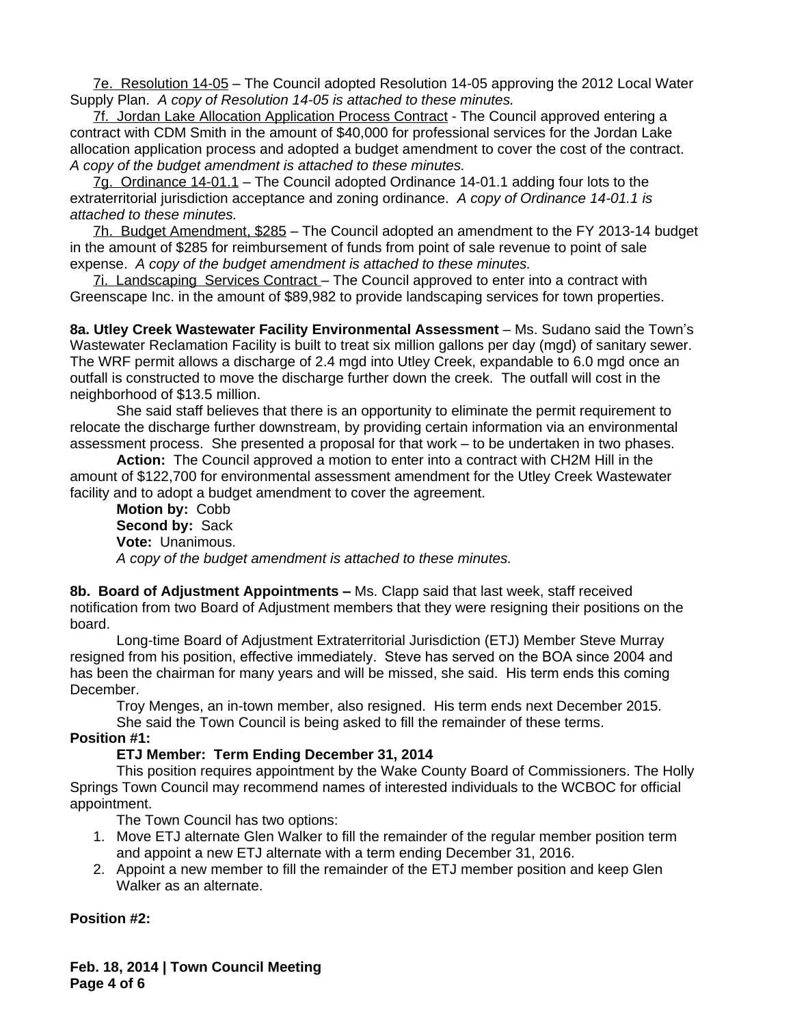7e. Resolution 14-05 – The Council adopted Resolution 14-05 approving the 2012 Local Water Supply Plan. *A copy of Resolution 14-05 is attached to these minutes.*

7f. Jordan Lake Allocation Application Process Contract - The Council approved entering a contract with CDM Smith in the amount of \$40,000 for professional services for the Jordan Lake allocation application process and adopted a budget amendment to cover the cost of the contract. *A copy of the budget amendment is attached to these minutes.*

7g. Ordinance 14-01.1 - The Council adopted Ordinance 14-01.1 adding four lots to the extraterritorial jurisdiction acceptance and zoning ordinance. *A copy of Ordinance 14-01.1 is attached to these minutes.*

7h. Budget Amendment, \$285 – The Council adopted an amendment to the FY 2013-14 budget in the amount of \$285 for reimbursement of funds from point of sale revenue to point of sale expense. *A copy of the budget amendment is attached to these minutes.*

7i. Landscaping Services Contract – The Council approved to enter into a contract with Greenscape Inc. in the amount of \$89,982 to provide landscaping services for town properties.

**8a. Utley Creek Wastewater Facility Environmental Assessment** – Ms. Sudano said the Town's Wastewater Reclamation Facility is built to treat six million gallons per day (mgd) of sanitary sewer. The WRF permit allows a discharge of 2.4 mgd into Utley Creek, expandable to 6.0 mgd once an outfall is constructed to move the discharge further down the creek. The outfall will cost in the neighborhood of \$13.5 million.

She said staff believes that there is an opportunity to eliminate the permit requirement to relocate the discharge further downstream, by providing certain information via an environmental assessment process. She presented a proposal for that work – to be undertaken in two phases.

**Action:** The Council approved a motion to enter into a contract with CH2M Hill in the amount of \$122,700 for environmental assessment amendment for the Utley Creek Wastewater facility and to adopt a budget amendment to cover the agreement.

**Motion by:** Cobb **Second by:** Sack **Vote:** Unanimous. *A copy of the budget amendment is attached to these minutes.*

**8b. Board of Adjustment Appointments –** Ms. Clapp said that last week, staff received notification from two Board of Adjustment members that they were resigning their positions on the board.

Long-time Board of Adjustment Extraterritorial Jurisdiction (ETJ) Member Steve Murray resigned from his position, effective immediately. Steve has served on the BOA since 2004 and has been the chairman for many years and will be missed, she said. His term ends this coming December.

Troy Menges, an in-town member, also resigned. His term ends next December 2015. She said the Town Council is being asked to fill the remainder of these terms.

#### **Position #1:**

## **ETJ Member: Term Ending December 31, 2014**

This position requires appointment by the Wake County Board of Commissioners. The Holly Springs Town Council may recommend names of interested individuals to the WCBOC for official appointment.

The Town Council has two options:

- 1. Move ETJ alternate Glen Walker to fill the remainder of the regular member position term and appoint a new ETJ alternate with a term ending December 31, 2016.
- 2. Appoint a new member to fill the remainder of the ETJ member position and keep Glen Walker as an alternate.

## **Position #2:**

**Feb. 18, 2014 | Town Council Meeting Page 4 of 6**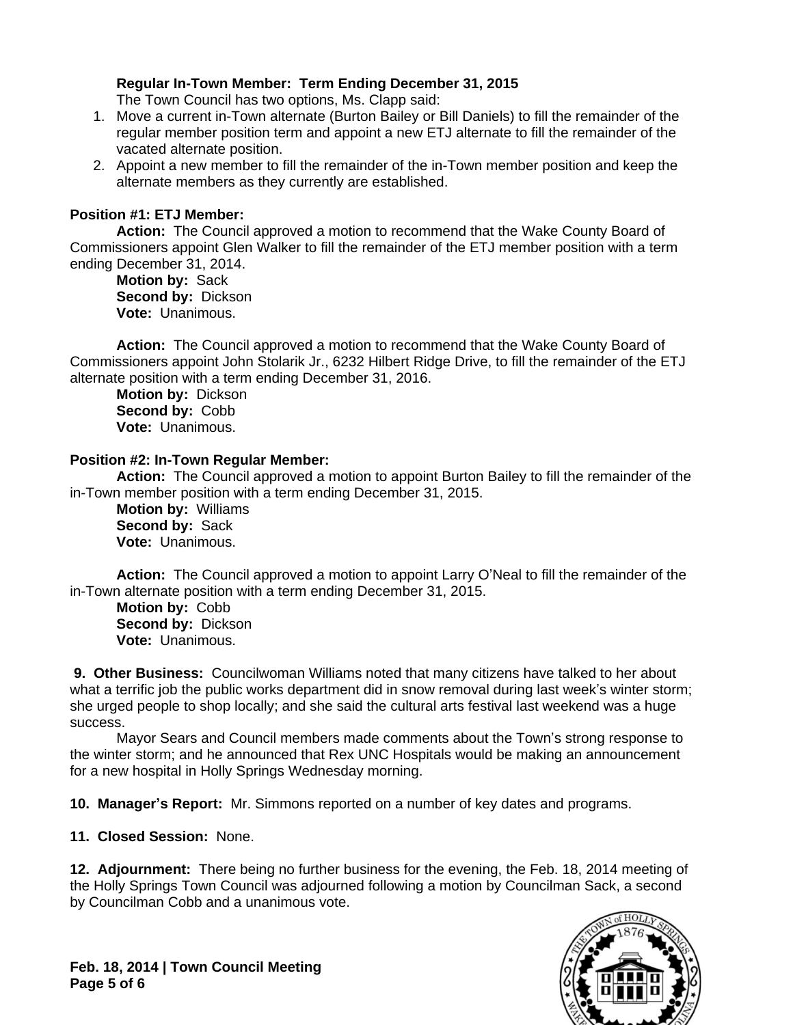# **Regular In-Town Member: Term Ending December 31, 2015**

The Town Council has two options, Ms. Clapp said:

- 1. Move a current in-Town alternate (Burton Bailey or Bill Daniels) to fill the remainder of the regular member position term and appoint a new ETJ alternate to fill the remainder of the vacated alternate position.
- 2. Appoint a new member to fill the remainder of the in-Town member position and keep the alternate members as they currently are established.

#### **Position #1: ETJ Member:**

**Action:** The Council approved a motion to recommend that the Wake County Board of Commissioners appoint Glen Walker to fill the remainder of the ETJ member position with a term ending December 31, 2014.

**Motion by:** Sack **Second by:** Dickson **Vote:** Unanimous.

**Action:** The Council approved a motion to recommend that the Wake County Board of Commissioners appoint John Stolarik Jr., 6232 Hilbert Ridge Drive, to fill the remainder of the ETJ alternate position with a term ending December 31, 2016.

**Motion by:** Dickson **Second by:** Cobb **Vote:** Unanimous.

#### **Position #2: In-Town Regular Member:**

**Action:** The Council approved a motion to appoint Burton Bailey to fill the remainder of the in-Town member position with a term ending December 31, 2015.

**Motion by:** Williams **Second by:** Sack **Vote:** Unanimous.

**Action:** The Council approved a motion to appoint Larry O'Neal to fill the remainder of the in-Town alternate position with a term ending December 31, 2015.

**Motion by:** Cobb **Second by:** Dickson **Vote:** Unanimous.

 **9. Other Business:** Councilwoman Williams noted that many citizens have talked to her about what a terrific job the public works department did in snow removal during last week's winter storm; she urged people to shop locally; and she said the cultural arts festival last weekend was a huge success.

Mayor Sears and Council members made comments about the Town's strong response to the winter storm; and he announced that Rex UNC Hospitals would be making an announcement for a new hospital in Holly Springs Wednesday morning.

**10. Manager's Report:** Mr. Simmons reported on a number of key dates and programs.

**11. Closed Session:** None.

**12. Adjournment:** There being no further business for the evening, the Feb. 18, 2014 meeting of the Holly Springs Town Council was adjourned following a motion by Councilman Sack, a second by Councilman Cobb and a unanimous vote.